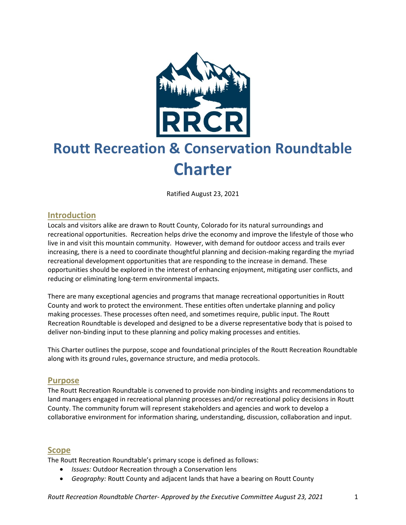

# **Routt Recreation & Conservation Roundtable Charter**

Ratified August 23, 2021

#### **Introduction**

Locals and visitors alike are drawn to Routt County, Colorado for its natural surroundings and recreational opportunities. Recreation helps drive the economy and improve the lifestyle of those who live in and visit this mountain community. However, with demand for outdoor access and trails ever increasing, there is a need to coordinate thoughtful planning and decision-making regarding the myriad recreational development opportunities that are responding to the increase in demand. These opportunities should be explored in the interest of enhancing enjoyment, mitigating user conflicts, and reducing or eliminating long-term environmental impacts.

There are many exceptional agencies and programs that manage recreational opportunities in Routt County and work to protect the environment. These entities often undertake planning and policy making processes. These processes often need, and sometimes require, public input. The Routt Recreation Roundtable is developed and designed to be a diverse representative body that is poised to deliver non-binding input to these planning and policy making processes and entities.

This Charter outlines the purpose, scope and foundational principles of the Routt Recreation Roundtable along with its ground rules, governance structure, and media protocols.

#### **Purpose**

The Routt Recreation Roundtable is convened to provide non-binding insights and recommendations to land managers engaged in recreational planning processes and/or recreational policy decisions in Routt County. The community forum will represent stakeholders and agencies and work to develop a collaborative environment for information sharing, understanding, discussion, collaboration and input.

#### **Scope**

The Routt Recreation Roundtable's primary scope is defined as follows:

- *Issues:* Outdoor Recreation through a Conservation lens
- *Geography:* Routt County and adjacent lands that have a bearing on Routt County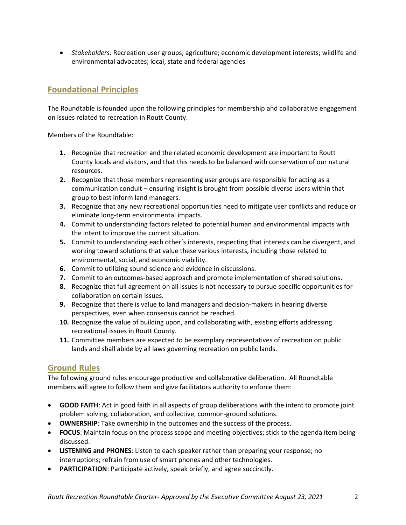• *Stakeholders:* Recreation user groups; agriculture; economic development interests; wildlife and environmental advocates; local, state and federal agencies

# **Foundational Principles**

The Roundtable is founded upon the following principles for membership and collaborative engagement on issues related to recreation in Routt County.

Members of the Roundtable:

- **1.** Recognize that recreation and the related economic development are important to Routt County locals and visitors, and that this needs to be balanced with conservation of our natural resources.
- **2.** Recognize that those members representing user groups are responsible for acting as a communication conduit – ensuring insight is brought from possible diverse users within that group to best inform land managers.
- **3.** Recognize that any new recreational opportunities need to mitigate user conflicts and reduce or eliminate long-term environmental impacts.
- **4.** Commit to understanding factors related to potential human and environmental impacts with the intent to improve the current situation.
- **5.** Commit to understanding each other's interests, respecting that interests can be divergent, and working toward solutions that value these various interests, including those related to environmental, social, and economic viability.
- **6.** Commit to utilizing sound science and evidence in discussions.
- **7.** Commit to an outcomes-based approach and promote implementation of shared solutions.
- **8.** Recognize that full agreement on all issues is not necessary to pursue specific opportunities for collaboration on certain issues.
- **9.** Recognize that there is value to land managers and decision-makers in hearing diverse perspectives, even when consensus cannot be reached.
- **10.** Recognize the value of building upon, and collaborating with, existing efforts addressing recreational issues in Routt County.
- **11.** Committee members are expected to be exemplary representatives of recreation on public lands and shall abide by all laws governing recreation on public lands.

## **Ground Rules**

The following ground rules encourage productive and collaborative deliberation. All Roundtable members will agree to follow them and give facilitators authority to enforce them:

- **GOOD FAITH**: Act in good faith in all aspects of group deliberations with the intent to promote joint problem solving, collaboration, and collective, common-ground solutions.
- **OWNERSHIP**: Take ownership in the outcomes and the success of the process.
- **FOCUS**: Maintain focus on the process scope and meeting objectives; stick to the agenda item being discussed.
- **LISTENING and PHONES**: Listen to each speaker rather than preparing your response; no interruptions; refrain from use of smart phones and other technologies.
- **PARTICIPATION**: Participate actively, speak briefly, and agree succinctly.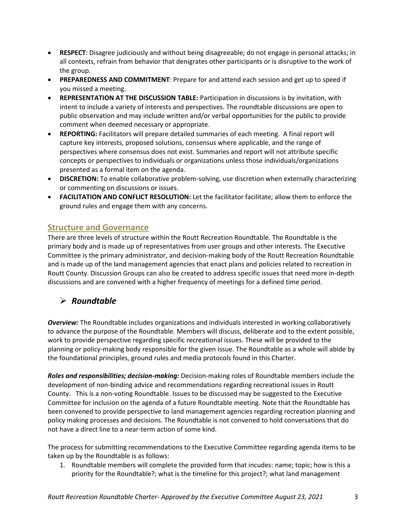- **RESPECT**: Disagree judiciously and without being disagreeable; do not engage in personal attacks; in all contexts, refrain from behavior that denigrates other participants or is disruptive to the work of the group.
- **PREPAREDNESS AND COMMITMENT**: Prepare for and attend each session and get up to speed if you missed a meeting.
- **REPRESENTATION AT THE DISCUSSION TABLE:** Participation in discussions is by invitation, with intent to include a variety of interests and perspectives. The roundtable discussions are open to public observation and may include written and/or verbal opportunities for the public to provide comment when deemed necessary or appropriate.
- **REPORTING:** Facilitators will prepare detailed summaries of each meeting. A final report will capture key interests, proposed solutions, consensus where applicable, and the range of perspectives where consensus does not exist. Summaries and report will not attribute specific concepts or perspectives to individuals or organizations unless those individuals/organizations presented as a formal item on the agenda.
- **DISCRETION:** To enable collaborative problem-solving, use discretion when externally characterizing or commenting on discussions or issues.
- **FACILITATION AND CONFLICT RESOLUTION:** Let the facilitator facilitate; allow them to enforce the ground rules and engage them with any concerns.

## **Structure and Governance**

There are three levels of structure within the Routt Recreation Roundtable. The Roundtable is the primary body and is made up of representatives from user groups and other interests. The Executive Committee is the primary administrator, and decision-making body of the Routt Recreation Roundtable and is made up of the land management agencies that enact plans and policies related to recreation in Routt County. Discussion Groups can also be created to address specific issues that need more in-depth discussions and are convened with a higher frequency of meetings for a defined time period.

# ➢ *Roundtable*

*Overview:* The Roundtable includes organizations and individuals interested in working collaboratively to advance the purpose of the Roundtable. Members will discuss, deliberate and to the extent possible, work to provide perspective regarding specific recreational issues. These will be provided to the planning or policy-making body responsible for the given issue. The Roundtable as a whole will abide by the foundational principles, ground rules and media protocols found in this Charter.

*Roles and responsibilities; decision-making:* Decision-making roles of Roundtable members include the development of non-binding advice and recommendations regarding recreational issues in Routt County. This is a non-voting Roundtable. Issues to be discussed may be suggested to the Executive Committee for inclusion on the agenda of a future Roundtable meeting. Note that the Roundtable has been convened to provide perspective to land management agencies regarding recreation planning and policy making processes and decisions. The Roundtable is not convened to hold conversations that do not have a direct line to a near-term action of some kind.

The process for submitting recommendations to the Executive Committee regarding agenda items to be taken up by the Roundtable is as follows:

1. Roundtable members will complete the provided form that incudes: name; topic; how is this a priority for the Roundtable?; what is the timeline for this project?; what land management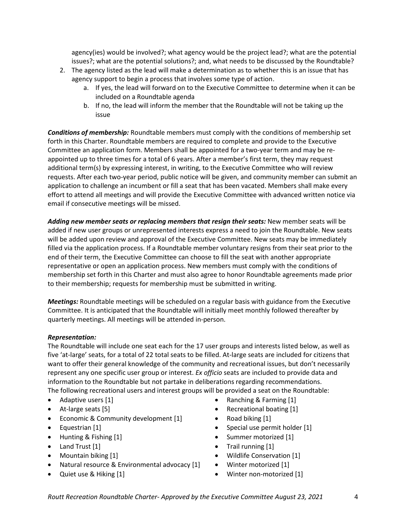agency(ies) would be involved?; what agency would be the project lead?; what are the potential issues?; what are the potential solutions?; and, what needs to be discussed by the Roundtable?

- 2. The agency listed as the lead will make a determination as to whether this is an issue that has agency support to begin a process that involves some type of action.
	- a. If yes, the lead will forward on to the Executive Committee to determine when it can be included on a Roundtable agenda
	- b. If no, the lead will inform the member that the Roundtable will not be taking up the issue

*Conditions of membership:* Roundtable members must comply with the conditions of membership set forth in this Charter. Roundtable members are required to complete and provide to the Executive Committee an application form. Members shall be appointed for a two-year term and may be reappointed up to three times for a total of 6 years. After a member's first term, they may request additional term(s) by expressing interest, in writing, to the Executive Committee who will review requests. After each two-year period, public notice will be given, and community member can submit an application to challenge an incumbent or fill a seat that has been vacated. Members shall make every effort to attend all meetings and will provide the Executive Committee with advanced written notice via email if consecutive meetings will be missed.

*Adding new member seats or replacing members that resign their seats:* New member seats will be added if new user groups or unrepresented interests express a need to join the Roundtable. New seats will be added upon review and approval of the Executive Committee. New seats may be immediately filled via the application process. If a Roundtable member voluntary resigns from their seat prior to the end of their term, the Executive Committee can choose to fill the seat with another appropriate representative or open an application process. New members must comply with the conditions of membership set forth in this Charter and must also agree to honor Roundtable agreements made prior to their membership; requests for membership must be submitted in writing.

*Meetings:* Roundtable meetings will be scheduled on a regular basis with guidance from the Executive Committee. It is anticipated that the Roundtable will initially meet monthly followed thereafter by quarterly meetings. All meetings will be attended in-person.

#### *Representation:*

The Roundtable will include one seat each for the 17 user groups and interests listed below, as well as five 'at-large' seats, for a total of 22 total seats to be filled. At-large seats are included for citizens that want to offer their general knowledge of the community and recreational issues, but don't necessarily represent any one specific user group or interest. *Ex officio* seats are included to provide data and information to the Roundtable but not partake in deliberations regarding recommendations. The following recreational users and interest groups will be provided a seat on the Roundtable:

- Adaptive users [1]
- At-large seats [5]
- Economic & Community development [1]
- Equestrian [1]
- Hunting & Fishing [1]
- Land Trust [1]
- Mountain biking [1]
- Natural resource & Environmental advocacy [1]
- Quiet use & Hiking [1]
- Ranching & Farming [1]
- Recreational boating [1]
- Road biking [1]
- Special use permit holder [1]
- Summer motorized [1]
- Trail running [1]
- Wildlife Conservation [1]
- Winter motorized [1]
- Winter non-motorized [1]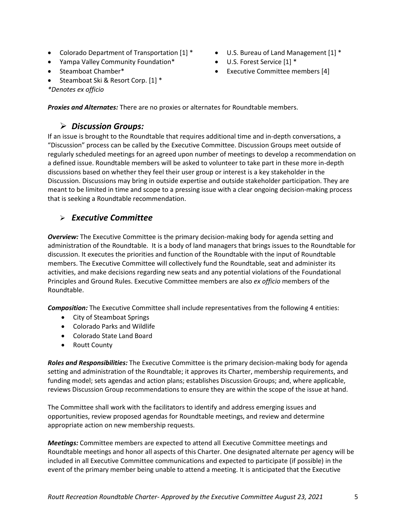- Colorado Department of Transportation [1] \*
- Yampa Valley Community Foundation\*
- Steamboat Chamber\*
- Steamboat Ski & Resort Corp. [1] \*

*\*Denotes ex officio*

- U.S. Bureau of Land Management [1] \*
- U.S. Forest Service [1] \*
- Executive Committee members [4]

*Proxies and Alternates:* There are no proxies or alternates for Roundtable members.

# ➢ *Discussion Groups:*

If an issue is brought to the Roundtable that requires additional time and in-depth conversations, a "Discussion" process can be called by the Executive Committee. Discussion Groups meet outside of regularly scheduled meetings for an agreed upon number of meetings to develop a recommendation on a defined issue. Roundtable members will be asked to volunteer to take part in these more in-depth discussions based on whether they feel their user group or interest is a key stakeholder in the Discussion. Discussions may bring in outside expertise and outside stakeholder participation. They are meant to be limited in time and scope to a pressing issue with a clear ongoing decision-making process that is seeking a Roundtable recommendation.

# ➢ *Executive Committee*

*Overview:* The Executive Committee is the primary decision-making body for agenda setting and administration of the Roundtable. It is a body of land managers that brings issues to the Roundtable for discussion. It executes the priorities and function of the Roundtable with the input of Roundtable members. The Executive Committee will collectively fund the Roundtable, seat and administer its activities, and make decisions regarding new seats and any potential violations of the Foundational Principles and Ground Rules. Executive Committee members are also *ex officio* members of the Roundtable.

*Composition:* The Executive Committee shall include representatives from the following 4 entities:

- City of Steamboat Springs
- Colorado Parks and Wildlife
- Colorado State Land Board
- Routt County

*Roles and Responsibilities:* The Executive Committee is the primary decision-making body for agenda setting and administration of the Roundtable; it approves its Charter, membership requirements, and funding model; sets agendas and action plans; establishes Discussion Groups; and, where applicable, reviews Discussion Group recommendations to ensure they are within the scope of the issue at hand.

The Committee shall work with the facilitators to identify and address emerging issues and opportunities, review proposed agendas for Roundtable meetings, and review and determine appropriate action on new membership requests.

*Meetings:* Committee members are expected to attend all Executive Committee meetings and Roundtable meetings and honor all aspects of this Charter. One designated alternate per agency will be included in all Executive Committee communications and expected to participate (if possible) in the event of the primary member being unable to attend a meeting. It is anticipated that the Executive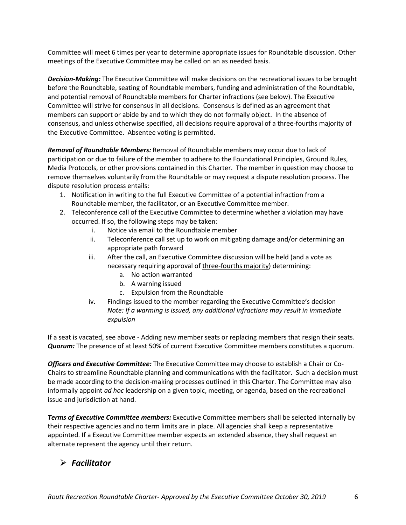Committee will meet 6 times per year to determine appropriate issues for Roundtable discussion. Other meetings of the Executive Committee may be called on an as needed basis.

*Decision-Making:* The Executive Committee will make decisions on the recreational issues to be brought before the Roundtable, seating of Roundtable members, funding and administration of the Roundtable, and potential removal of Roundtable members for Charter infractions (see below). The Executive Committee will strive for consensus in all decisions. Consensus is defined as an agreement that members can support or abide by and to which they do not formally object. In the absence of consensus, and unless otherwise specified, all decisions require approval of a three-fourths majority of the Executive Committee. Absentee voting is permitted.

*Removal of Roundtable Members:* Removal of Roundtable members may occur due to lack of participation or due to failure of the member to adhere to the Foundational Principles, Ground Rules, Media Protocols, or other provisions contained in this Charter. The member in question may choose to remove themselves voluntarily from the Roundtable or may request a dispute resolution process. The dispute resolution process entails:

- 1. Notification in writing to the full Executive Committee of a potential infraction from a Roundtable member, the facilitator, or an Executive Committee member.
- 2. Teleconference call of the Executive Committee to determine whether a violation may have occurred. If so, the following steps may be taken:
	- i. Notice via email to the Roundtable member
	- ii. Teleconference call set up to work on mitigating damage and/or determining an appropriate path forward
	- iii. After the call, an Executive Committee discussion will be held (and a vote as necessary requiring approval of three-fourths majority) determining:
		- a. No action warranted
		- b. A warning issued
		- c. Expulsion from the Roundtable
	- iv. Findings issued to the member regarding the Executive Committee's decision *Note: If a warming is issued, any additional infractions may result in immediate expulsion*

If a seat is vacated, see above - Adding new member seats or replacing members that resign their seats. *Quorum:* The presence of at least 50% of current Executive Committee members constitutes a quorum.

*Officers and Executive Committee:* The Executive Committee may choose to establish a Chair or Co-Chairs to streamline Roundtable planning and communications with the facilitator. Such a decision must be made according to the decision-making processes outlined in this Charter. The Committee may also informally appoint *ad hoc* leadership on a given topic, meeting, or agenda, based on the recreational issue and jurisdiction at hand.

*Terms of Executive Committee members:* Executive Committee members shall be selected internally by their respective agencies and no term limits are in place. All agencies shall keep a representative appointed. If a Executive Committee member expects an extended absence, they shall request an alternate represent the agency until their return.

# ➢ *Facilitator*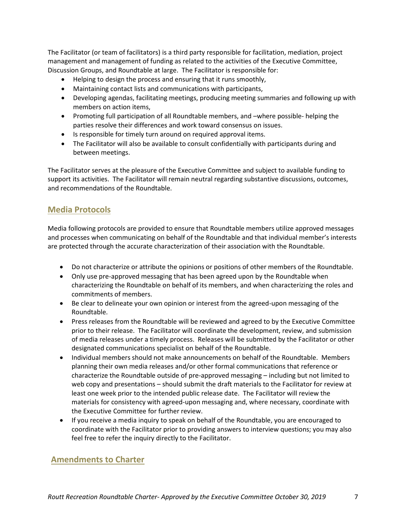The Facilitator (or team of facilitators) is a third party responsible for facilitation, mediation, project management and management of funding as related to the activities of the Executive Committee, Discussion Groups, and Roundtable at large. The Facilitator is responsible for:

- Helping to design the process and ensuring that it runs smoothly,
- Maintaining contact lists and communications with participants,
- Developing agendas, facilitating meetings, producing meeting summaries and following up with members on action items,
- Promoting full participation of all Roundtable members, and –where possible- helping the parties resolve their differences and work toward consensus on issues.
- Is responsible for timely turn around on required approval items.
- The Facilitator will also be available to consult confidentially with participants during and between meetings.

The Facilitator serves at the pleasure of the Executive Committee and subject to available funding to support its activities. The Facilitator will remain neutral regarding substantive discussions, outcomes, and recommendations of the Roundtable.

### **Media Protocols**

Media following protocols are provided to ensure that Roundtable members utilize approved messages and processes when communicating on behalf of the Roundtable and that individual member's interests are protected through the accurate characterization of their association with the Roundtable.

- Do not characterize or attribute the opinions or positions of other members of the Roundtable.
- Only use pre-approved messaging that has been agreed upon by the Roundtable when characterizing the Roundtable on behalf of its members, and when characterizing the roles and commitments of members.
- Be clear to delineate your own opinion or interest from the agreed-upon messaging of the Roundtable.
- Press releases from the Roundtable will be reviewed and agreed to by the Executive Committee prior to their release. The Facilitator will coordinate the development, review, and submission of media releases under a timely process. Releases will be submitted by the Facilitator or other designated communications specialist on behalf of the Roundtable.
- Individual members should not make announcements on behalf of the Roundtable. Members planning their own media releases and/or other formal communications that reference or characterize the Roundtable outside of pre-approved messaging – including but not limited to web copy and presentations – should submit the draft materials to the Facilitator for review at least one week prior to the intended public release date. The Facilitator will review the materials for consistency with agreed-upon messaging and, where necessary, coordinate with the Executive Committee for further review.
- If you receive a media inquiry to speak on behalf of the Roundtable, you are encouraged to coordinate with the Facilitator prior to providing answers to interview questions; you may also feel free to refer the inquiry directly to the Facilitator.

#### **Amendments to Charter**